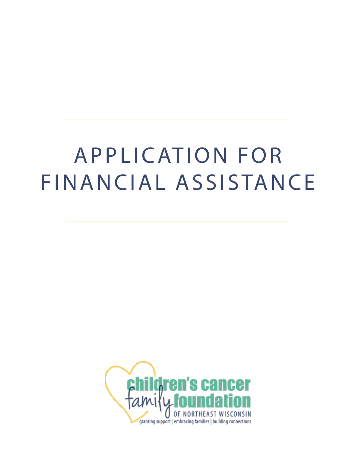# A P P L I CATION FOR FINANCIAL ASSISTANCE

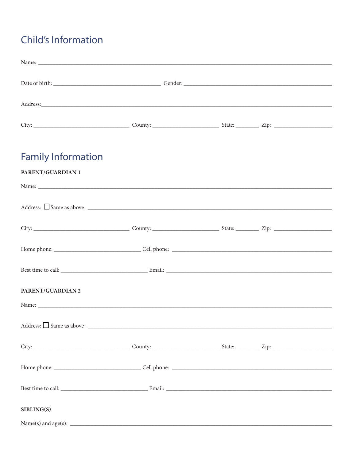## **Child's Information**

| <b>Family Information</b>                                                                                                                                                                                                      |  |  |
|--------------------------------------------------------------------------------------------------------------------------------------------------------------------------------------------------------------------------------|--|--|
| PARENT/GUARDIAN 1                                                                                                                                                                                                              |  |  |
| Address: $\Box$ Same as above $\Box$                                                                                                                                                                                           |  |  |
|                                                                                                                                                                                                                                |  |  |
|                                                                                                                                                                                                                                |  |  |
|                                                                                                                                                                                                                                |  |  |
| PARENT/GUARDIAN 2                                                                                                                                                                                                              |  |  |
|                                                                                                                                                                                                                                |  |  |
| Address: Same as above Same and Same and Same and Same and Same and Same and Same and Same and Same and Same and Same and Same and Same and Same and Same and Same and Same and Same and Same and Same and Same and Same and S |  |  |
|                                                                                                                                                                                                                                |  |  |
|                                                                                                                                                                                                                                |  |  |
|                                                                                                                                                                                                                                |  |  |
| SIBLING(S)                                                                                                                                                                                                                     |  |  |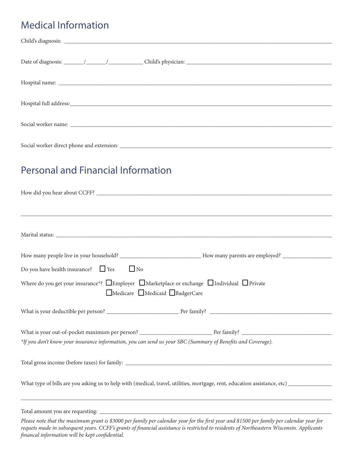## Medical Information

| <b>Personal and Financial Information</b>                                                                                                                                                                                                                                            |
|--------------------------------------------------------------------------------------------------------------------------------------------------------------------------------------------------------------------------------------------------------------------------------------|
|                                                                                                                                                                                                                                                                                      |
|                                                                                                                                                                                                                                                                                      |
|                                                                                                                                                                                                                                                                                      |
|                                                                                                                                                                                                                                                                                      |
|                                                                                                                                                                                                                                                                                      |
|                                                                                                                                                                                                                                                                                      |
|                                                                                                                                                                                                                                                                                      |
| Do you have health insurance? $\Box$ Yes<br>$\Box$ No                                                                                                                                                                                                                                |
| Where do you get your insurance*? $\square$ Employer $\square$ Marketplace or exchange $\square$ Individual $\square$ Private                                                                                                                                                        |
| Medicare Medicaid BadgerCare                                                                                                                                                                                                                                                         |
|                                                                                                                                                                                                                                                                                      |
|                                                                                                                                                                                                                                                                                      |
|                                                                                                                                                                                                                                                                                      |
| *If you don't know your insurance information, you can send us your SBC (Summary of Benefits and Coverage).                                                                                                                                                                          |
|                                                                                                                                                                                                                                                                                      |
|                                                                                                                                                                                                                                                                                      |
|                                                                                                                                                                                                                                                                                      |
|                                                                                                                                                                                                                                                                                      |
| ,我们的人们就会在这里的人们,我们的人们就会在这里的人们,我们就会在这里的人们,我们就会在这里的人们,我们就会在这里的人们,我们就会在这里的人们,我们就会在这里                                                                                                                                                                                                     |
|                                                                                                                                                                                                                                                                                      |
| Please note that the maximum grant is \$3000 per family per calendar year for the first year and \$1500 per family per calendar year for<br>requets made in subsequent years. CCFF's grants of financial assistance is restricted to residents of Northeastern Wisconsin. Applicants |

*financal information will be kept confidential.*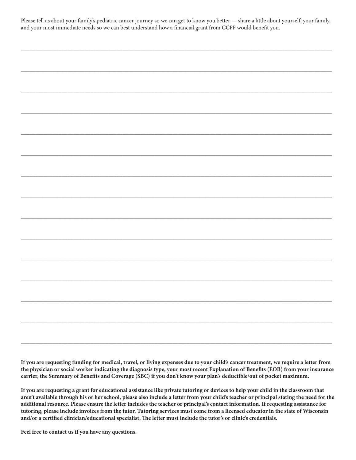Please tell as about your family's pediatric cancer journey so we can get to know you better — share a little about yourself, your family, and your most immediate needs so we can best understand how a financial grant from CCFF would benefit you.

**If you are requesting funding for medical, travel, or living expenses due to your child's cancer treatment, we require a letter from the physician or social worker indicating the diagnosis type, your most recent Explanation of Benefits (EOB) from your insurance carrier, the Summary of Benefits and Coverage (SBC) if you don't know your plan's deductible/out of pocket maximum.**

\_\_\_\_\_\_\_\_\_\_\_\_\_\_\_\_\_\_\_\_\_\_\_\_\_\_\_\_\_\_\_\_\_\_\_\_\_\_\_\_\_\_\_\_\_\_\_\_\_\_\_\_\_\_\_\_\_\_\_\_\_\_\_\_\_\_\_\_\_\_\_\_\_\_\_\_\_\_\_\_\_\_\_\_\_\_\_\_\_\_\_\_\_\_\_\_\_\_\_\_\_\_\_\_\_\_\_

**If you are requesting a grant for educational assistance like private tutoring or devices to help your child in the classroom that aren't available through his or her school, please also include a letter from your child's teacher or principal stating the need for the additional resource. Please ensure the letter includes the teacher or principal's contact information. If requesting assistance for tutoring, please include invoices from the tutor. Tutoring services must come from a licensed educator in the state of Wisconsin and/or a certified clinician/educational specialist. The letter must include the tutor's or clinic's credentials.** 

**Feel free to contact us if you have any questions.**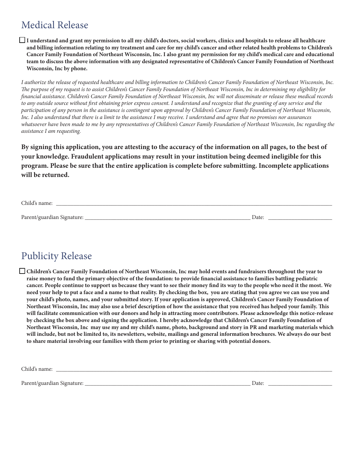#### Medical Release

I understand and grant my permission to all my child's doctors, social workers, clinics and hospitals to release all healthcare **and billing information relating to my treatment and care for my child's cancer and other related health problems to Children's Cancer Family Foundation of Northeast Wisconsin, Inc. I also grant my permission for my child's medical care and educational team to discuss the above information with any designated representative of Children's Cancer Family Foundation of Northeast Wisconsin, Inc by phone.**

*I authorize the release of requested healthcare and billing information to Children's Cancer Family Foundation of Northeast Wisconsin, Inc. The purpose of my request is to assist Children's Cancer Family Foundation of Northeast Wisconsin, Inc in determining my eligibility for financial assistance. Children's Cancer Family Foundation of Northeast Wisconsin, Inc will not disseminate or release these medical records to any outside source without first obtaining prior express consent. I understand and recognize that the granting of any service and the participation of any person in the assistance is contingent upon approval by Children's Cancer Family Foundation of Northeast Wisconsin, Inc. I also understand that there is a limit to the assistance I may receive. I understand and agree that no promises nor assurances whatsoever have been made to me by any representatives of Children's Cancer Family Foundation of Northeast Wisconsin, Inc regarding the assistance I am requesting.*

**By signing this application, you are attesting to the accuracy of the information on all pages, to the best of your knowledge. Fraudulent applications may result in your institution being deemed ineligible for this program. Please be sure that the entire application is complete before submitting. Incomplete applications will be returned.** 

| Child's name:              |       |
|----------------------------|-------|
|                            |       |
| Parent/guardian Signature: | Date: |

## Publicity Release

q **Children's Cancer Family Foundation of Northeast Wisconsin, Inc may hold events and fundraisers throughout the year to raise money to fund the primary objective of the foundation: to provide financial assistance to families battling pediatric cancer. People continue to support us because they want to see their money find its way to the people who need it the most. We need your help to put a face and a name to that reality. By checking the box, you are stating that you agree we can use you and your child's photo, names, and your submitted story. If your application is approved, Children's Cancer Family Foundation of Northeast Wisconsin, Inc may also use a brief description of how the assistance that you received has helped your family. This will facilitate communication with our donors and help in attracting more contributors. Please acknowledge this notice-release by checking the box above and signing the application. I hereby acknowledge that Children's Cancer Family Foundation of Northeast Wisconsin, Inc may use my and my child's name, photo, background and story in PR and marketing materials which will include, but not be limited to, its newsletters, website, mailings and general information brochures. We always do our best to share material involving our families with them prior to printing or sharing with potential donors.**

Child's name: \_

Parent/guardian Signature: \_\_\_\_\_\_\_\_\_\_\_\_\_\_\_\_\_\_\_\_\_\_\_\_\_\_\_\_\_\_\_\_\_\_\_\_\_\_\_\_\_\_\_\_\_\_\_\_\_\_\_\_\_\_\_\_\_ Date: \_\_\_\_\_\_\_\_\_\_\_\_\_\_\_\_\_\_\_\_\_\_